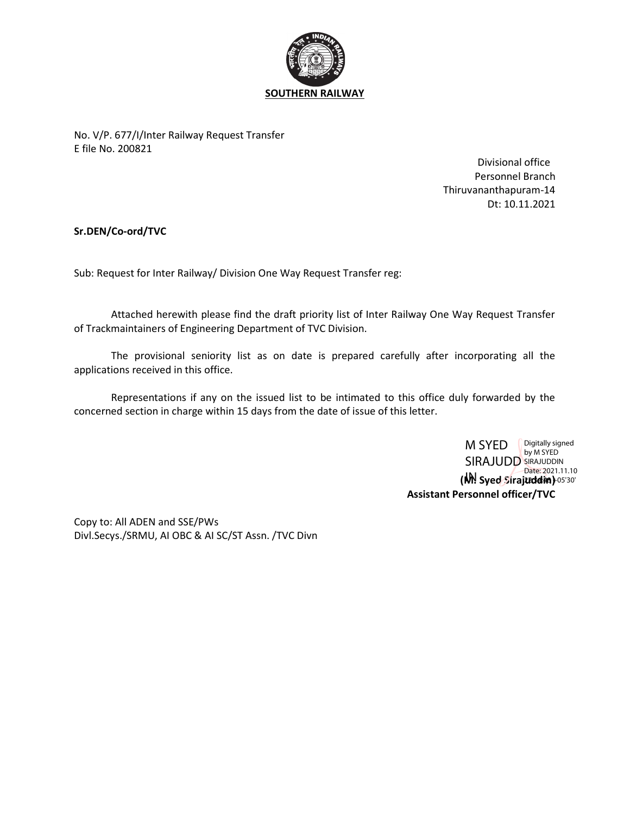

No. V/P. 677/I/Inter Railway Request Transfer E file No. 200821

> Divisional office Personnel Branch Thiruvananthapuram-14 Dt: 10.11.2021

Sr.DEN/Co-ord/TVC

Sub: Request for Inter Railway/ Division One Way Request Transfer reg:

 Attached herewith please find the draft priority list of Inter Railway One Way Request Transfer of Trackmaintainers of Engineering Department of TVC Division.

 The provisional seniority list as on date is prepared carefully after incorporating all the applications received in this office.

 Representations if any on the issued list to be intimated to this office duly forwarded by the concerned section in charge within 15 days from the date of issue of this letter.

> (M) Syed Sirajuddin) 05'30' Assistant Personnel officer/TVC M SYED **SIRAJUDD** SIRAJUDDII Digitally signed SIRAJUDDIN Date: 2021.11.10

Copy to: All ADEN and SSE/PWs Divl.Secys./SRMU, AI OBC & AI SC/ST Assn. /TVC Divn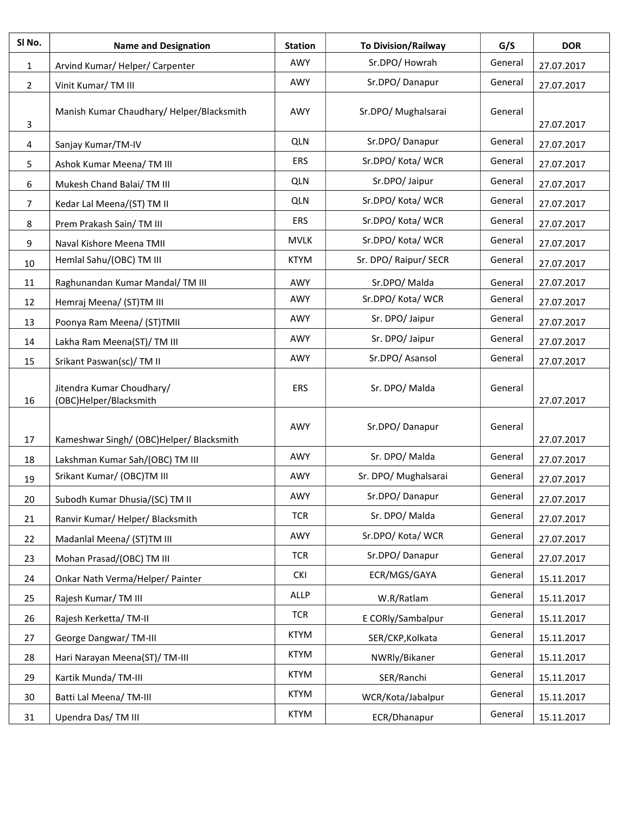| SI No.         | <b>Name and Designation</b>                         | <b>Station</b> | <b>To Division/Railway</b> | G/S     | <b>DOR</b> |
|----------------|-----------------------------------------------------|----------------|----------------------------|---------|------------|
| 1              | Arvind Kumar/Helper/Carpenter                       | AWY            | Sr.DPO/Howrah              | General | 27.07.2017 |
| $\overline{2}$ | Vinit Kumar/TM III                                  | AWY            | Sr.DPO/Danapur             | General | 27.07.2017 |
| 3              | Manish Kumar Chaudhary/ Helper/Blacksmith           | AWY            | Sr.DPO/ Mughalsarai        | General | 27.07.2017 |
| 4              | Sanjay Kumar/TM-IV                                  | <b>QLN</b>     | Sr.DPO/Danapur             | General | 27.07.2017 |
| 5              | Ashok Kumar Meena/TM III                            | ERS            | Sr.DPO/Kota/WCR            | General | 27.07.2017 |
| 6              | Mukesh Chand Balai/TM III                           | <b>QLN</b>     | Sr.DPO/ Jaipur             | General | 27.07.2017 |
| $\overline{7}$ | Kedar Lal Meena/(ST) TM II                          | <b>QLN</b>     | Sr.DPO/Kota/WCR            | General | 27.07.2017 |
| 8              | Prem Prakash Sain/ TM III                           | <b>ERS</b>     | Sr.DPO/Kota/WCR            | General | 27.07.2017 |
| 9              | Naval Kishore Meena TMII                            | <b>MVLK</b>    | Sr.DPO/Kota/WCR            | General | 27.07.2017 |
| 10             | Hemlal Sahu/(OBC) TM III                            | <b>KTYM</b>    | Sr. DPO/ Raipur/ SECR      | General | 27.07.2017 |
| 11             | Raghunandan Kumar Mandal/TM III                     | AWY            | Sr.DPO/Malda               | General | 27.07.2017 |
| 12             | Hemraj Meena/ (ST)TM III                            | AWY            | Sr.DPO/Kota/WCR            | General | 27.07.2017 |
| 13             | Poonya Ram Meena/ (ST)TMII                          | AWY            | Sr. DPO/ Jaipur            | General | 27.07.2017 |
| 14             | Lakha Ram Meena(ST)/ TM III                         | AWY            | Sr. DPO/ Jaipur            | General | 27.07.2017 |
| 15             | Srikant Paswan(sc)/TM II                            | AWY            | Sr.DPO/Asansol             | General | 27.07.2017 |
| 16             | Jitendra Kumar Choudhary/<br>(OBC)Helper/Blacksmith | <b>ERS</b>     | Sr. DPO/Malda              | General | 27.07.2017 |
| 17             | Kameshwar Singh/ (OBC)Helper/ Blacksmith            | AWY            | Sr.DPO/Danapur             | General | 27.07.2017 |
| 18             | Lakshman Kumar Sah/(OBC) TM III                     | AWY            | Sr. DPO/Malda              | General | 27.07.2017 |
| 19             | Srikant Kumar/ (OBC)TM III                          | AWY            | Sr. DPO/ Mughalsarai       | General | 27.07.2017 |
| 20             | Subodh Kumar Dhusia/(SC) TM II                      | AWY            | Sr.DPO/Danapur             | General | 27.07.2017 |
| 21             | Ranvir Kumar/Helper/Blacksmith                      | <b>TCR</b>     | Sr. DPO/Malda              | General | 27.07.2017 |
| 22             | Madanlal Meena/ (ST)TM III                          | AWY            | Sr.DPO/Kota/WCR            | General | 27.07.2017 |
| 23             | Mohan Prasad/(OBC) TM III                           | <b>TCR</b>     | Sr.DPO/Danapur             | General | 27.07.2017 |
| 24             | Onkar Nath Verma/Helper/ Painter                    | <b>CKI</b>     | ECR/MGS/GAYA               | General | 15.11.2017 |
| 25             | Rajesh Kumar/TM III                                 | ALLP           | W.R/Ratlam                 | General | 15.11.2017 |
| 26             | Rajesh Kerketta/TM-II                               | <b>TCR</b>     | E CORly/Sambalpur          | General | 15.11.2017 |
| 27             | George Dangwar/TM-III                               | <b>KTYM</b>    | SER/CKP, Kolkata           | General | 15.11.2017 |
| 28             | Hari Narayan Meena(ST)/TM-III                       | <b>KTYM</b>    | NWRly/Bikaner              | General | 15.11.2017 |
| 29             | Kartik Munda/TM-III                                 | <b>KTYM</b>    | SER/Ranchi                 | General | 15.11.2017 |
| 30             | Batti Lal Meena/TM-III                              | <b>KTYM</b>    | WCR/Kota/Jabalpur          | General | 15.11.2017 |
| 31             | Upendra Das/TM III                                  | <b>KTYM</b>    | ECR/Dhanapur               | General | 15.11.2017 |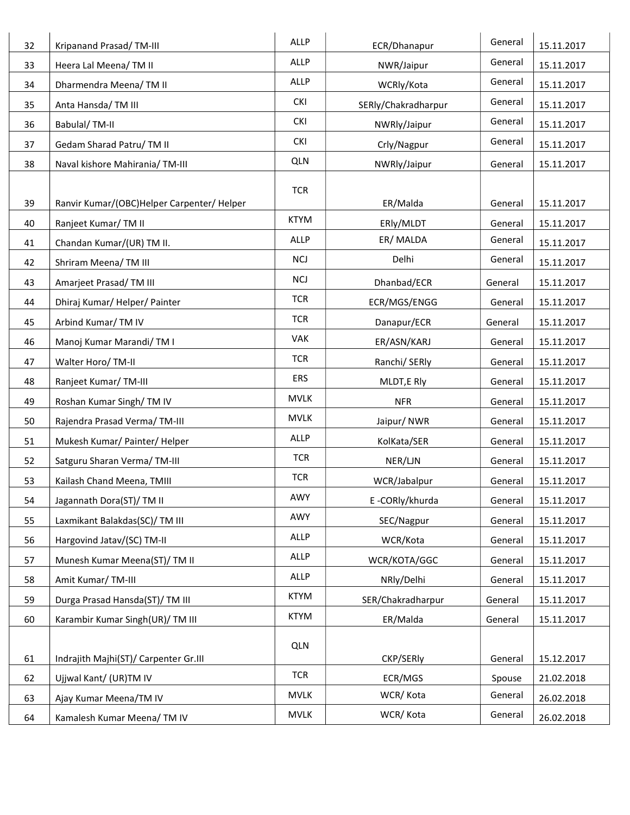| 32 | Kripanand Prasad/TM-III                    | <b>ALLP</b> | ECR/Dhanapur        | General | 15.11.2017 |
|----|--------------------------------------------|-------------|---------------------|---------|------------|
| 33 | Heera Lal Meena/TM II                      | ALLP        | NWR/Jaipur          | General | 15.11.2017 |
| 34 | Dharmendra Meena/TM II                     | ALLP        | WCRly/Kota          | General | 15.11.2017 |
| 35 | Anta Hansda/TM III                         | <b>CKI</b>  | SERly/Chakradharpur | General | 15.11.2017 |
| 36 | Babulal/TM-II                              | <b>CKI</b>  | NWRly/Jaipur        | General | 15.11.2017 |
| 37 | Gedam Sharad Patru/ TM II                  | <b>CKI</b>  | Crly/Nagpur         | General | 15.11.2017 |
| 38 | Naval kishore Mahirania/ TM-III            | <b>QLN</b>  | NWRly/Jaipur        | General | 15.11.2017 |
|    |                                            | <b>TCR</b>  |                     |         |            |
| 39 | Ranvir Kumar/(OBC)Helper Carpenter/ Helper |             | ER/Malda            | General | 15.11.2017 |
| 40 | Ranjeet Kumar/TM II                        | <b>KTYM</b> | ERly/MLDT           | General | 15.11.2017 |
| 41 | Chandan Kumar/(UR) TM II.                  | <b>ALLP</b> | ER/MALDA            | General | 15.11.2017 |
| 42 | Shriram Meena/TM III                       | <b>NCJ</b>  | Delhi               | General | 15.11.2017 |
| 43 | Amarjeet Prasad/TM III                     | <b>NCJ</b>  | Dhanbad/ECR         | General | 15.11.2017 |
| 44 | Dhiraj Kumar/Helper/Painter                | <b>TCR</b>  | ECR/MGS/ENGG        | General | 15.11.2017 |
| 45 | Arbind Kumar/TM IV                         | <b>TCR</b>  | Danapur/ECR         | General | 15.11.2017 |
| 46 | Manoj Kumar Marandi/TM I                   | <b>VAK</b>  | ER/ASN/KARJ         | General | 15.11.2017 |
| 47 | Walter Horo/ TM-II                         | <b>TCR</b>  | Ranchi/ SERly       | General | 15.11.2017 |
| 48 | Ranjeet Kumar/TM-III                       | ERS         | MLDT, E Rly         | General | 15.11.2017 |
| 49 | Roshan Kumar Singh/TM IV                   | <b>MVLK</b> | <b>NFR</b>          | General | 15.11.2017 |
| 50 | Rajendra Prasad Verma/TM-III               | <b>MVLK</b> | Jaipur/NWR          | General | 15.11.2017 |
| 51 | Mukesh Kumar/ Painter/ Helper              | ALLP        | KolKata/SER         | General | 15.11.2017 |
| 52 | Satguru Sharan Verma/TM-III                | <b>TCR</b>  | NER/LJN             | General | 15.11.2017 |
| 53 | Kailash Chand Meena, TMIII                 | <b>TCR</b>  | WCR/Jabalpur        | General | 15.11.2017 |
| 54 | Jagannath Dora(ST)/ TM II                  | AWY         | E-CORly/khurda      | General | 15.11.2017 |
| 55 | Laxmikant Balakdas(SC)/ TM III             | AWY         | SEC/Nagpur          | General | 15.11.2017 |
| 56 | Hargovind Jatav/(SC) TM-II                 | ALLP        | WCR/Kota            | General | 15.11.2017 |
| 57 | Munesh Kumar Meena(ST)/ TM II              | ALLP        | WCR/KOTA/GGC        | General | 15.11.2017 |
| 58 | Amit Kumar/TM-III                          | ALLP        | NRly/Delhi          | General | 15.11.2017 |
| 59 | Durga Prasad Hansda(ST)/ TM III            | <b>KTYM</b> | SER/Chakradharpur   | General | 15.11.2017 |
| 60 | Karambir Kumar Singh(UR)/ TM III           | <b>KTYM</b> | ER/Malda            | General | 15.11.2017 |
|    |                                            | <b>QLN</b>  |                     |         |            |
| 61 | Indrajith Majhi(ST)/ Carpenter Gr.III      |             | CKP/SERly           | General | 15.12.2017 |
| 62 | Ujjwal Kant/ (UR)TM IV                     | <b>TCR</b>  | ECR/MGS             | Spouse  | 21.02.2018 |
| 63 | Ajay Kumar Meena/TM IV                     | <b>MVLK</b> | WCR/Kota            | General | 26.02.2018 |
| 64 | Kamalesh Kumar Meena/ TM IV                | <b>MVLK</b> | WCR/Kota            | General | 26.02.2018 |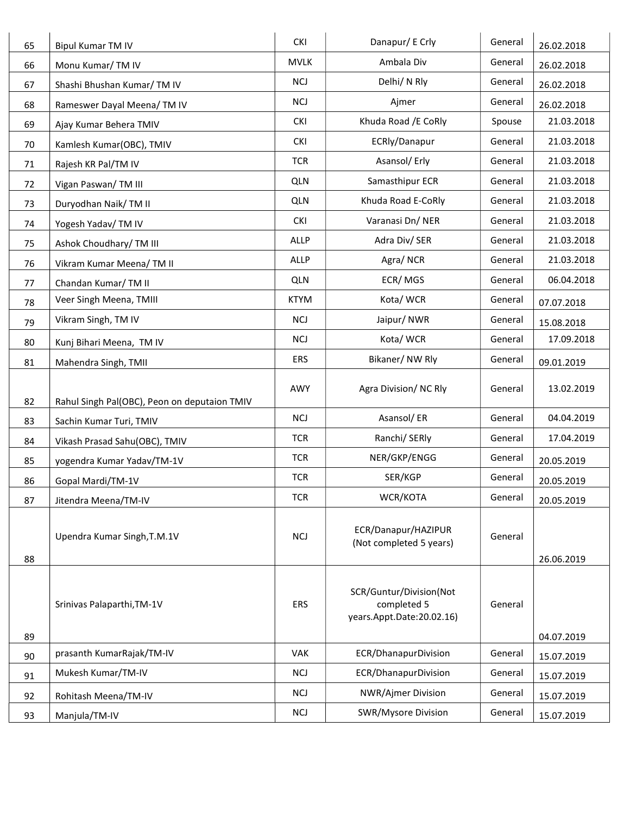| 65       | <b>Bipul Kumar TM IV</b>                     | <b>CKI</b>               | Danapur/ E Crly                                                     | General            | 26.02.2018               |
|----------|----------------------------------------------|--------------------------|---------------------------------------------------------------------|--------------------|--------------------------|
| 66       | Monu Kumar/TM IV                             | <b>MVLK</b>              | Ambala Div                                                          | General            | 26.02.2018               |
| 67       | Shashi Bhushan Kumar/TM IV                   | <b>NCJ</b>               | Delhi/ N Rly                                                        | General            | 26.02.2018               |
| 68       | Rameswer Dayal Meena/ TM IV                  | <b>NCJ</b>               | Ajmer                                                               | General            | 26.02.2018               |
| 69       | Ajay Kumar Behera TMIV                       | <b>CKI</b>               | Khuda Road / E CoRly                                                | Spouse             | 21.03.2018               |
| 70       | Kamlesh Kumar(OBC), TMIV                     | <b>CKI</b>               | ECRly/Danapur                                                       | General            | 21.03.2018               |
| 71       | Rajesh KR Pal/TM IV                          | <b>TCR</b>               | Asansol/ Erly                                                       | General            | 21.03.2018               |
| 72       | Vigan Paswan/TM III                          | <b>QLN</b>               | Samasthipur ECR                                                     | General            | 21.03.2018               |
| 73       | Duryodhan Naik/TM II                         | <b>QLN</b>               | Khuda Road E-CoRly                                                  | General            | 21.03.2018               |
| 74       | Yogesh Yadav/TM IV                           | <b>CKI</b>               | Varanasi Dn/NER                                                     | General            | 21.03.2018               |
| 75       | Ashok Choudhary/ TM III                      | ALLP                     | Adra Div/ SER                                                       | General            | 21.03.2018               |
| 76       | Vikram Kumar Meena/TM II                     | ALLP                     | Agra/NCR                                                            | General            | 21.03.2018               |
| 77       | Chandan Kumar/TM II                          | <b>QLN</b>               | ECR/MGS                                                             | General            | 06.04.2018               |
| 78       | Veer Singh Meena, TMIII                      | <b>KTYM</b>              | Kota/WCR                                                            | General            | 07.07.2018               |
| 79       | Vikram Singh, TM IV                          | <b>NCJ</b>               | Jaipur/NWR                                                          | General            | 15.08.2018               |
| 80       | Kunj Bihari Meena, TM IV                     | <b>NCJ</b>               | Kota/WCR                                                            | General            | 17.09.2018               |
| 81       | Mahendra Singh, TMII                         | ERS                      | Bikaner/NW Rly                                                      | General            | 09.01.2019               |
| 82       | Rahul Singh Pal(OBC), Peon on deputaion TMIV | AWY                      | Agra Division/NC Rly                                                | General            | 13.02.2019               |
| 83       | Sachin Kumar Turi, TMIV                      | <b>NCJ</b>               | Asansol/ER                                                          | General            | 04.04.2019               |
| 84       | Vikash Prasad Sahu(OBC), TMIV                | <b>TCR</b>               | Ranchi/ SERly                                                       | General            | 17.04.2019               |
| 85       | yogendra Kumar Yadav/TM-1V                   | <b>TCR</b>               | NER/GKP/ENGG                                                        | General            | 20.05.2019               |
| 86       | Gopal Mardi/TM-1V                            | <b>TCR</b>               | SER/KGP                                                             | General            | 20.05.2019               |
| 87       | Jitendra Meena/TM-IV                         | <b>TCR</b>               | WCR/KOTA                                                            | General            | 20.05.2019               |
| 88       | Upendra Kumar Singh, T.M.1V                  | <b>NCJ</b>               | ECR/Danapur/HAZIPUR<br>(Not completed 5 years)                      | General            |                          |
|          |                                              |                          |                                                                     |                    | 26.06.2019               |
|          | Srinivas Palaparthi, TM-1V                   | <b>ERS</b>               | SCR/Guntur/Division(Not<br>completed 5<br>years.Appt.Date:20.02.16) | General            |                          |
| 89       |                                              | <b>VAK</b>               |                                                                     |                    | 04.07.2019               |
| 90       | prasanth KumarRajak/TM-IV                    |                          | ECR/DhanapurDivision                                                | General            | 15.07.2019               |
| 91       | Mukesh Kumar/TM-IV                           | <b>NCJ</b><br><b>NCJ</b> | ECR/DhanapurDivision                                                | General<br>General | 15.07.2019               |
| 92<br>93 | Rohitash Meena/TM-IV<br>Manjula/TM-IV        | <b>NCJ</b>               | NWR/Ajmer Division<br>SWR/Mysore Division                           | General            | 15.07.2019<br>15.07.2019 |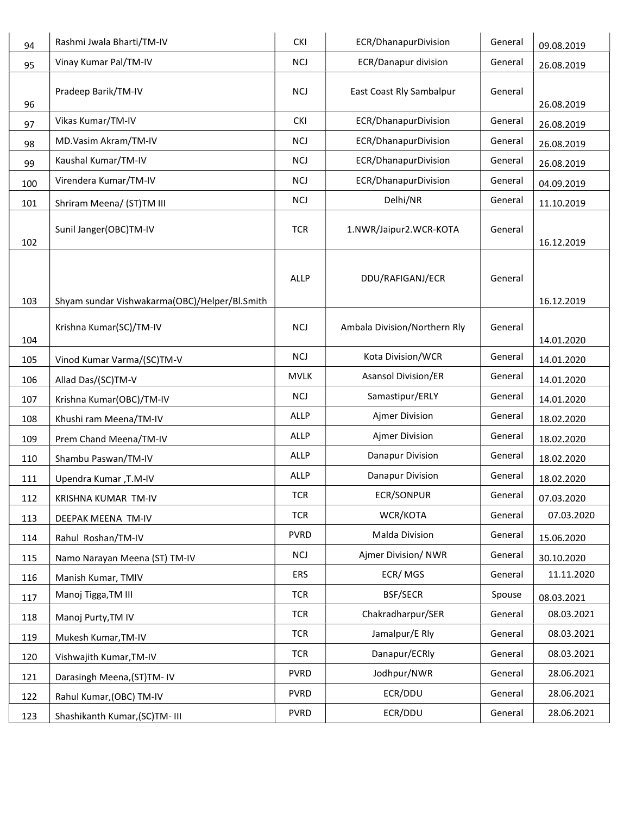| 94         | Rashmi Jwala Bharti/TM-IV                           | <b>CKI</b>  | ECR/DhanapurDivision         | General | 09.08.2019               |
|------------|-----------------------------------------------------|-------------|------------------------------|---------|--------------------------|
| 95         | Vinay Kumar Pal/TM-IV                               | <b>NCJ</b>  | ECR/Danapur division         | General | 26.08.2019               |
| 96         | Pradeep Barik/TM-IV                                 | <b>NCJ</b>  | East Coast Rly Sambalpur     | General | 26.08.2019               |
| 97         | Vikas Kumar/TM-IV                                   | <b>CKI</b>  | ECR/DhanapurDivision         | General | 26.08.2019               |
| 98         | MD.Vasim Akram/TM-IV                                | <b>NCJ</b>  | ECR/DhanapurDivision         | General | 26.08.2019               |
| 99         | Kaushal Kumar/TM-IV                                 | <b>NCJ</b>  | ECR/DhanapurDivision         | General | 26.08.2019               |
| 100        | Virendera Kumar/TM-IV                               | <b>NCJ</b>  | ECR/DhanapurDivision         | General | 04.09.2019               |
| 101        | Shriram Meena/ (ST)TM III                           | <b>NCJ</b>  | Delhi/NR                     | General | 11.10.2019               |
| 102        | Sunil Janger(OBC)TM-IV                              | <b>TCR</b>  | 1.NWR/Jaipur2.WCR-KOTA       | General | 16.12.2019               |
|            |                                                     | <b>ALLP</b> | DDU/RAFIGANJ/ECR             | General |                          |
| 103        | Shyam sundar Vishwakarma(OBC)/Helper/Bl.Smith       |             |                              |         | 16.12.2019               |
|            | Krishna Kumar(SC)/TM-IV                             | <b>NCJ</b>  | Ambala Division/Northern Rly | General |                          |
| 104        |                                                     | <b>NCJ</b>  | Kota Division/WCR            | General | 14.01.2020               |
| 105        | Vinod Kumar Varma/(SC)TM-V                          | <b>MVLK</b> | <b>Asansol Division/ER</b>   | General | 14.01.2020               |
| 106        | Allad Das/(SC)TM-V                                  | <b>NCJ</b>  | Samastipur/ERLY              | General | 14.01.2020               |
| 107        | Krishna Kumar(OBC)/TM-IV                            | <b>ALLP</b> | Ajmer Division               | General | 14.01.2020               |
| 108        | Khushi ram Meena/TM-IV                              | <b>ALLP</b> | Ajmer Division               | General | 18.02.2020               |
| 109        | Prem Chand Meena/TM-IV                              | <b>ALLP</b> | Danapur Division             | General | 18.02.2020               |
| 110        | Shambu Paswan/TM-IV                                 | <b>ALLP</b> | Danapur Division             | General | 18.02.2020               |
| 111        | Upendra Kumar, T.M-IV                               | <b>TCR</b>  | <b>ECR/SONPUR</b>            | General | 18.02.2020               |
| 112<br>113 | KRISHNA KUMAR TM-IV<br>DEEPAK MEENA TM-IV           | <b>TCR</b>  | WCR/KOTA                     | General | 07.03.2020<br>07.03.2020 |
| 114        | Rahul Roshan/TM-IV                                  | <b>PVRD</b> | Malda Division               | General | 15.06.2020               |
| 115        |                                                     | <b>NCJ</b>  | Ajmer Division/ NWR          | General | 30.10.2020               |
| 116        | Namo Narayan Meena (ST) TM-IV<br>Manish Kumar, TMIV | <b>ERS</b>  | ECR/MGS                      | General | 11.11.2020               |
| 117        | Manoj Tigga, TM III                                 | <b>TCR</b>  | <b>BSF/SECR</b>              | Spouse  | 08.03.2021               |
| 118        | Manoj Purty, TM IV                                  | <b>TCR</b>  | Chakradharpur/SER            | General | 08.03.2021               |
| 119        | Mukesh Kumar, TM-IV                                 | <b>TCR</b>  | Jamalpur/E Rly               | General | 08.03.2021               |
| 120        | Vishwajith Kumar, TM-IV                             | <b>TCR</b>  | Danapur/ECRly                | General | 08.03.2021               |
| 121        | Darasingh Meena, (ST)TM-IV                          | <b>PVRD</b> | Jodhpur/NWR                  | General | 28.06.2021               |
| 122        | Rahul Kumar, (OBC) TM-IV                            | <b>PVRD</b> | ECR/DDU                      | General | 28.06.2021               |
| 123        | Shashikanth Kumar, (SC)TM- III                      | <b>PVRD</b> | ECR/DDU                      | General | 28.06.2021               |